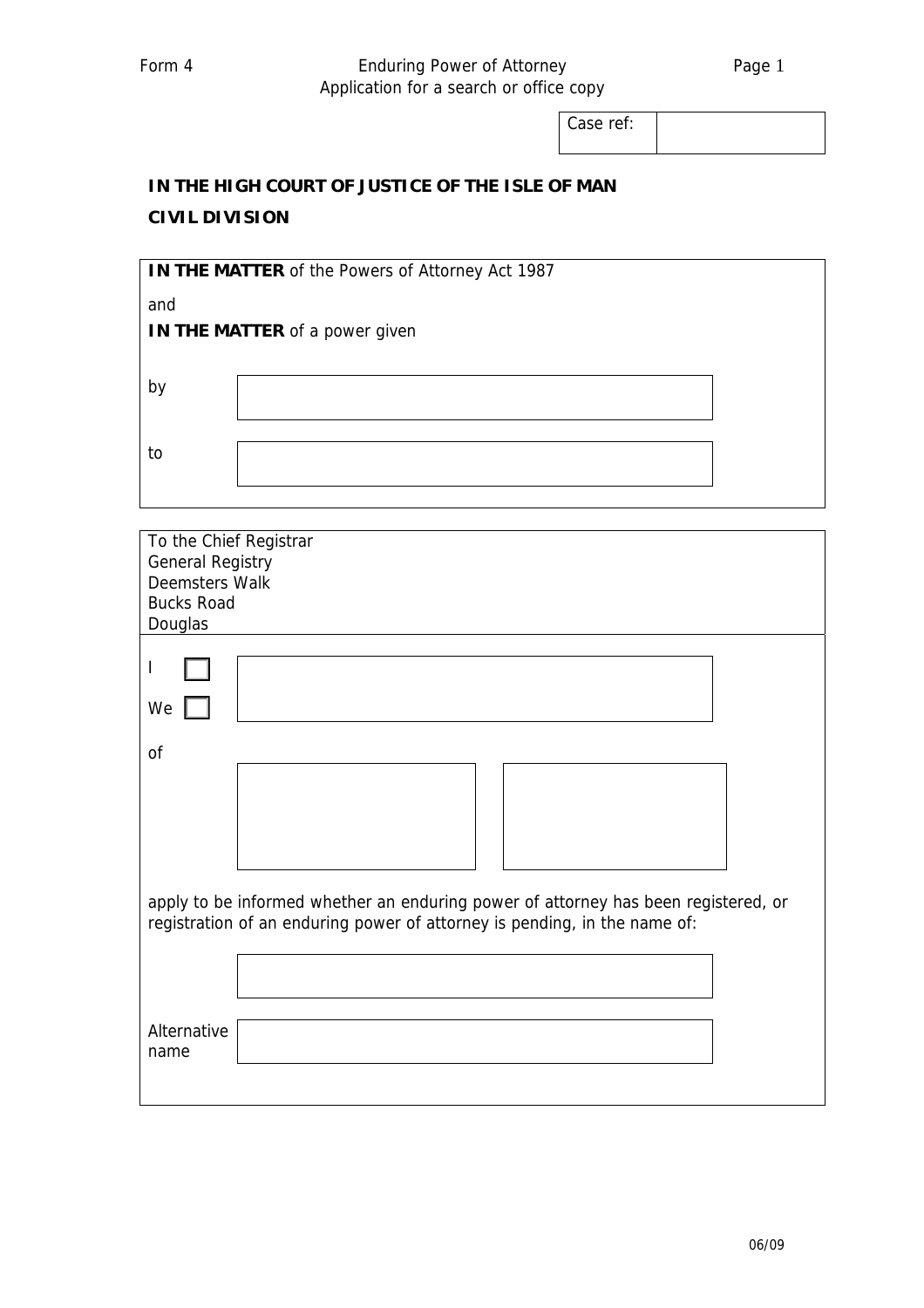## Form 4 **Enduring Power of Attorney Example 2** Page 1 Application for a search or office copy

Case ref:

## **IN THE HIGH COURT OF JUSTICE OF THE ISLE OF MAN CIVIL DIVISION**

| IN THE MATTER of the Powers of Attorney Act 1987 |                                |  |  |  |
|--------------------------------------------------|--------------------------------|--|--|--|
| and                                              | IN THE MATTER of a power given |  |  |  |
| b١                                               |                                |  |  |  |
| to                                               |                                |  |  |  |
|                                                  |                                |  |  |  |

| To the Chief Registrar<br><b>General Registry</b><br><b>Deemsters Walk</b>                                                                                      |  |  |  |  |
|-----------------------------------------------------------------------------------------------------------------------------------------------------------------|--|--|--|--|
| <b>Bucks Road</b><br>Douglas                                                                                                                                    |  |  |  |  |
| We                                                                                                                                                              |  |  |  |  |
| of                                                                                                                                                              |  |  |  |  |
|                                                                                                                                                                 |  |  |  |  |
| apply to be informed whether an enduring power of attorney has been registered, or<br>registration of an enduring power of attorney is pending, in the name of: |  |  |  |  |
|                                                                                                                                                                 |  |  |  |  |
| Alternative<br>name                                                                                                                                             |  |  |  |  |
|                                                                                                                                                                 |  |  |  |  |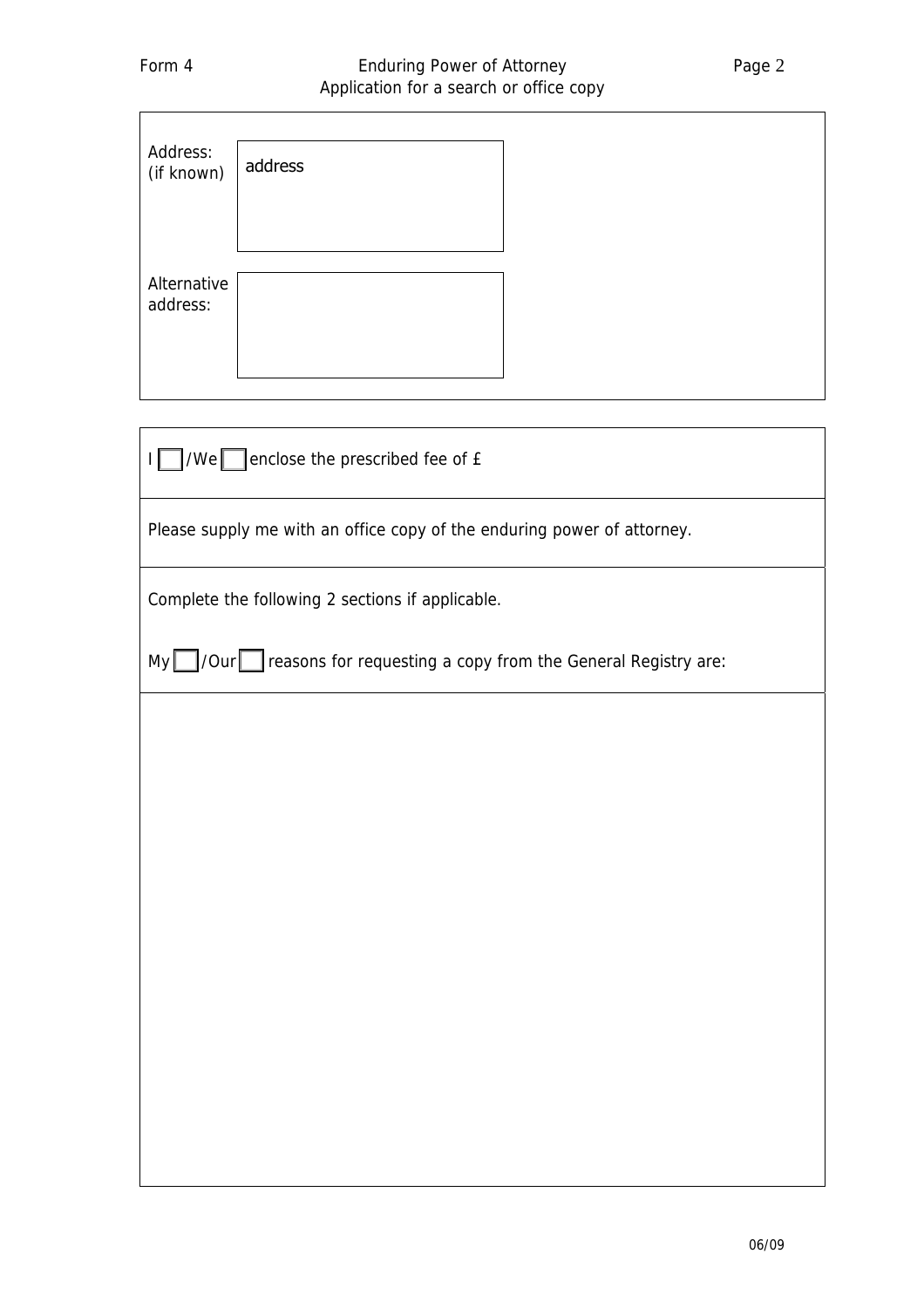| Address:<br>(if known) | address |
|------------------------|---------|
| Alternative            |         |
| address:               |         |

 $I \cap$  /We enclose the prescribed fee of £

Please supply me with an office copy of the enduring power of attorney.

Complete the following 2 sections if applicable.

 $My$  /Our reasons for requesting a copy from the General Registry are: